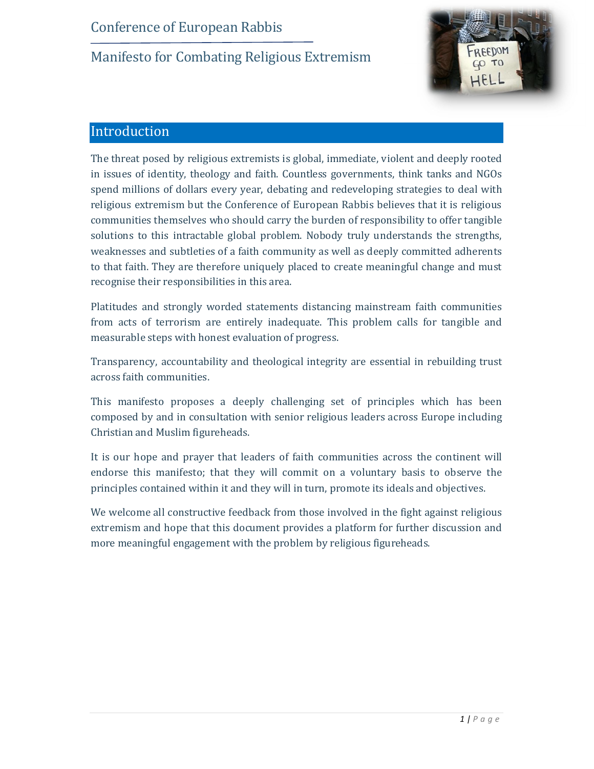

### Introduction

The threat posed by religious extremists is global, immediate, violent and deeply rooted in issues of identity, theology and faith. Countless governments, think tanks and NGOs spend millions of dollars every year, debating and redeveloping strategies to deal with religious extremism but the Conference of European Rabbis believes that it is religious communities themselves who should carry the burden of responsibility to offer tangible solutions to this intractable global problem. Nobody truly understands the strengths, weaknesses and subtleties of a faith community as well as deeply committed adherents to that faith. They are therefore uniquely placed to create meaningful change and must recognise their responsibilities in this area.

Platitudes and strongly worded statements distancing mainstream faith communities from acts of terrorism are entirely inadequate. This problem calls for tangible and measurable steps with honest evaluation of progress.

Transparency, accountability and theological integrity are essential in rebuilding trust across faith communities.

This manifesto proposes a deeply challenging set of principles which has been composed by and in consultation with senior religious leaders across Europe including Christian and Muslim figureheads.

It is our hope and prayer that leaders of faith communities across the continent will endorse this manifesto; that they will commit on a voluntary basis to observe the principles contained within it and they will in turn, promote its ideals and objectives.

We welcome all constructive feedback from those involved in the fight against religious extremism and hope that this document provides a platform for further discussion and more meaningful engagement with the problem by religious figureheads.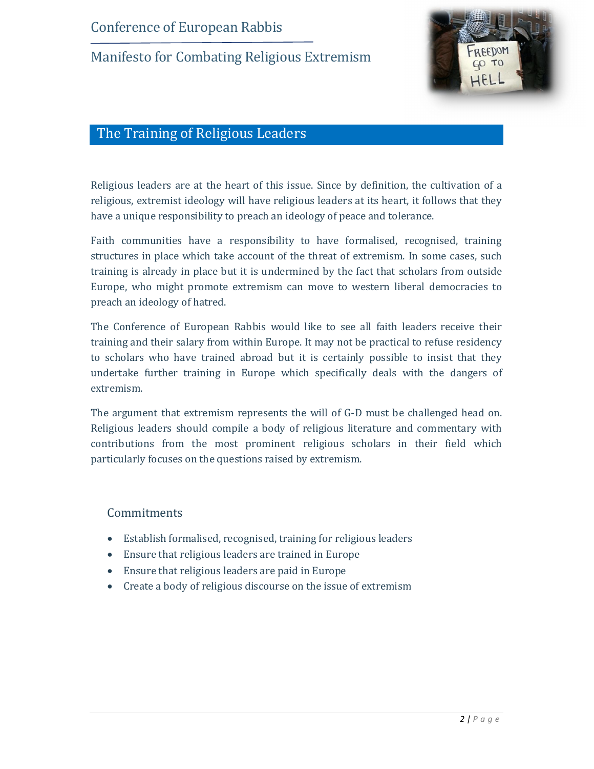

### The Training of Religious Leaders

Religious leaders are at the heart of this issue. Since by definition, the cultivation of a religious, extremist ideology will have religious leaders at its heart, it follows that they have a unique responsibility to preach an ideology of peace and tolerance.

Faith communities have a responsibility to have formalised, recognised, training structures in place which take account of the threat of extremism. In some cases, such training is already in place but it is undermined by the fact that scholars from outside Europe, who might promote extremism can move to western liberal democracies to preach an ideology of hatred.

The Conference of European Rabbis would like to see all faith leaders receive their training and their salary from within Europe. It may not be practical to refuse residency to scholars who have trained abroad but it is certainly possible to insist that they undertake further training in Europe which specifically deals with the dangers of extremism.

The argument that extremism represents the will of G-D must be challenged head on. Religious leaders should compile a body of religious literature and commentary with contributions from the most prominent religious scholars in their field which particularly focuses on the questions raised by extremism.

#### Commitments

- · Establish formalised, recognised, training for religious leaders
- · Ensure that religious leaders are trained in Europe
- · Ensure that religious leaders are paid in Europe
- · Create a body of religious discourse on the issue of extremism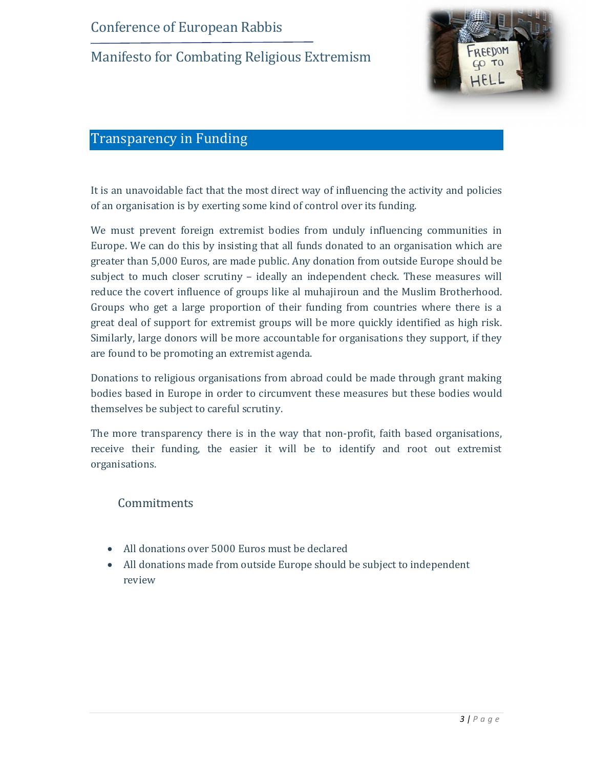

### Transparency in Funding

It is an unavoidable fact that the most direct way of influencing the activity and policies of an organisation is by exerting some kind of control over its funding.

We must prevent foreign extremist bodies from unduly influencing communities in Europe. We can do this by insisting that all funds donated to an organisation which are greater than 5,000 Euros, are made public. Any donation from outside Europe should be subject to much closer scrutiny – ideally an independent check. These measures will reduce the covert influence of groups like al muhajiroun and the Muslim Brotherhood. Groups who get a large proportion of their funding from countries where there is a great deal of support for extremist groups will be more quickly identified as high risk. Similarly, large donors will be more accountable for organisations they support, if they are found to be promoting an extremist agenda.

Donations to religious organisations from abroad could be made through grant making bodies based in Europe in order to circumvent these measures but these bodies would themselves be subject to careful scrutiny.

The more transparency there is in the way that non-profit, faith based organisations, receive their funding, the easier it will be to identify and root out extremist organisations.

#### **Commitments**

- All donations over 5000 Euros must be declared
- · All donations made from outside Europe should be subject to independent review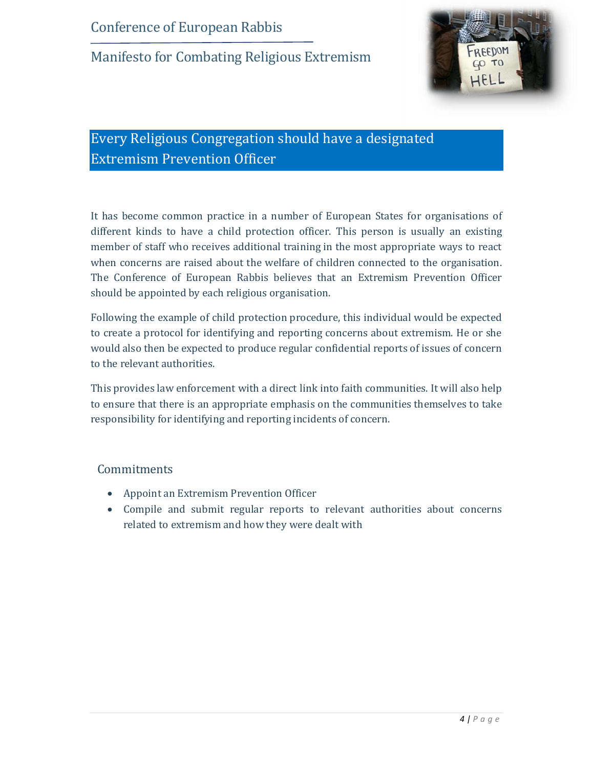

# Every Religious Congregation should have a designated Extremism Prevention Officer

It has become common practice in a number of European States for organisations of different kinds to have a child protection officer. This person is usually an existing member of staff who receives additional training in the most appropriate ways to react when concerns are raised about the welfare of children connected to the organisation. The Conference of European Rabbis believes that an Extremism Prevention Officer should be appointed by each religious organisation.

Following the example of child protection procedure, this individual would be expected to create a protocol for identifying and reporting concerns about extremism. He or she would also then be expected to produce regular confidential reports of issues of concern to the relevant authorities.

This provides law enforcement with a direct link into faith communities. It will also help to ensure that there is an appropriate emphasis on the communities themselves to take responsibility for identifying and reporting incidents of concern.

#### **Commitments**

- · Appoint an Extremism Prevention Officer
- · Compile and submit regular reports to relevant authorities about concerns related to extremism and how they were dealt with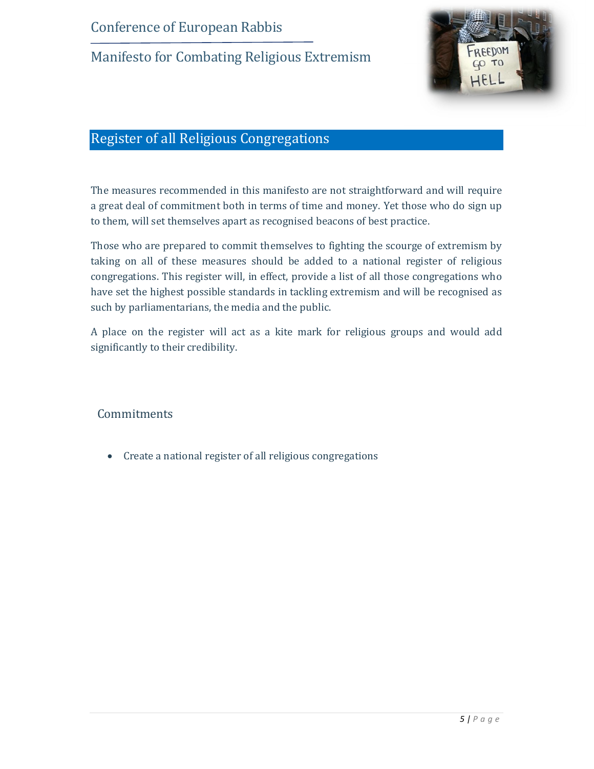

## Register of all Religious Congregations

The measures recommended in this manifesto are not straightforward and will require a great deal of commitment both in terms of time and money. Yet those who do sign up to them, will set themselves apart as recognised beacons of best practice.

Those who are prepared to commit themselves to fighting the scourge of extremism by taking on all of these measures should be added to a national register of religious congregations. This register will, in effect, provide a list of all those congregations who have set the highest possible standards in tackling extremism and will be recognised as such by parliamentarians, the media and the public.

A place on the register will act as a kite mark for religious groups and would add significantly to their credibility.

**Commitments** 

· Create a national register of all religious congregations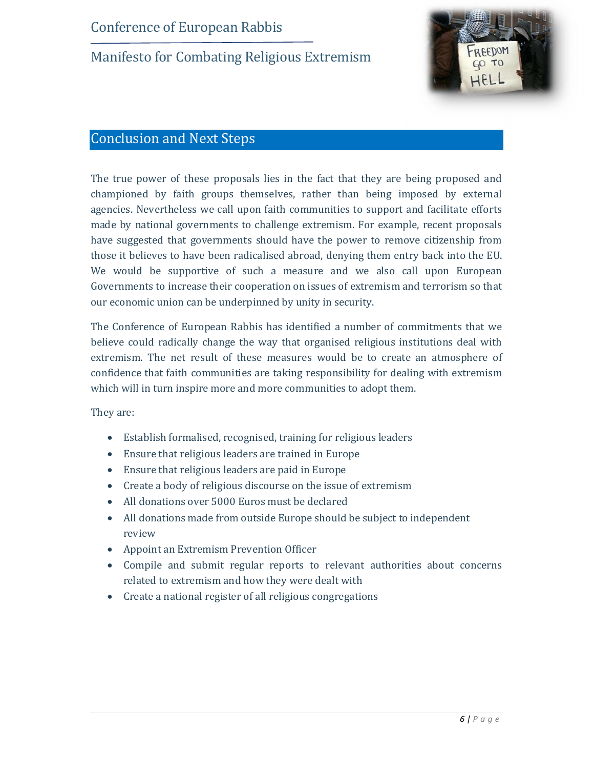

### Conclusion and Next Steps

The true power of these proposals lies in the fact that they are being proposed and championed by faith groups themselves, rather than being imposed by external agencies. Nevertheless we call upon faith communities to support and facilitate efforts made by national governments to challenge extremism. For example, recent proposals have suggested that governments should have the power to remove citizenship from those it believes to have been radicalised abroad, denying them entry back into the EU. We would be supportive of such a measure and we also call upon European Governments to increase their cooperation on issues of extremism and terrorism so that our economic union can be underpinned by unity in security.

The Conference of European Rabbis has identified a number of commitments that we believe could radically change the way that organised religious institutions deal with extremism. The net result of these measures would be to create an atmosphere of confidence that faith communities are taking responsibility for dealing with extremism which will in turn inspire more and more communities to adopt them.

They are:

- · Establish formalised, recognised, training for religious leaders
- · Ensure that religious leaders are trained in Europe
- · Ensure that religious leaders are paid in Europe
- · Create a body of religious discourse on the issue of extremism
- · All donations over 5000 Euros must be declared
- · All donations made from outside Europe should be subject to independent review
- · Appoint an Extremism Prevention Officer
- · Compile and submit regular reports to relevant authorities about concerns related to extremism and how they were dealt with
- · Create a national register of all religious congregations